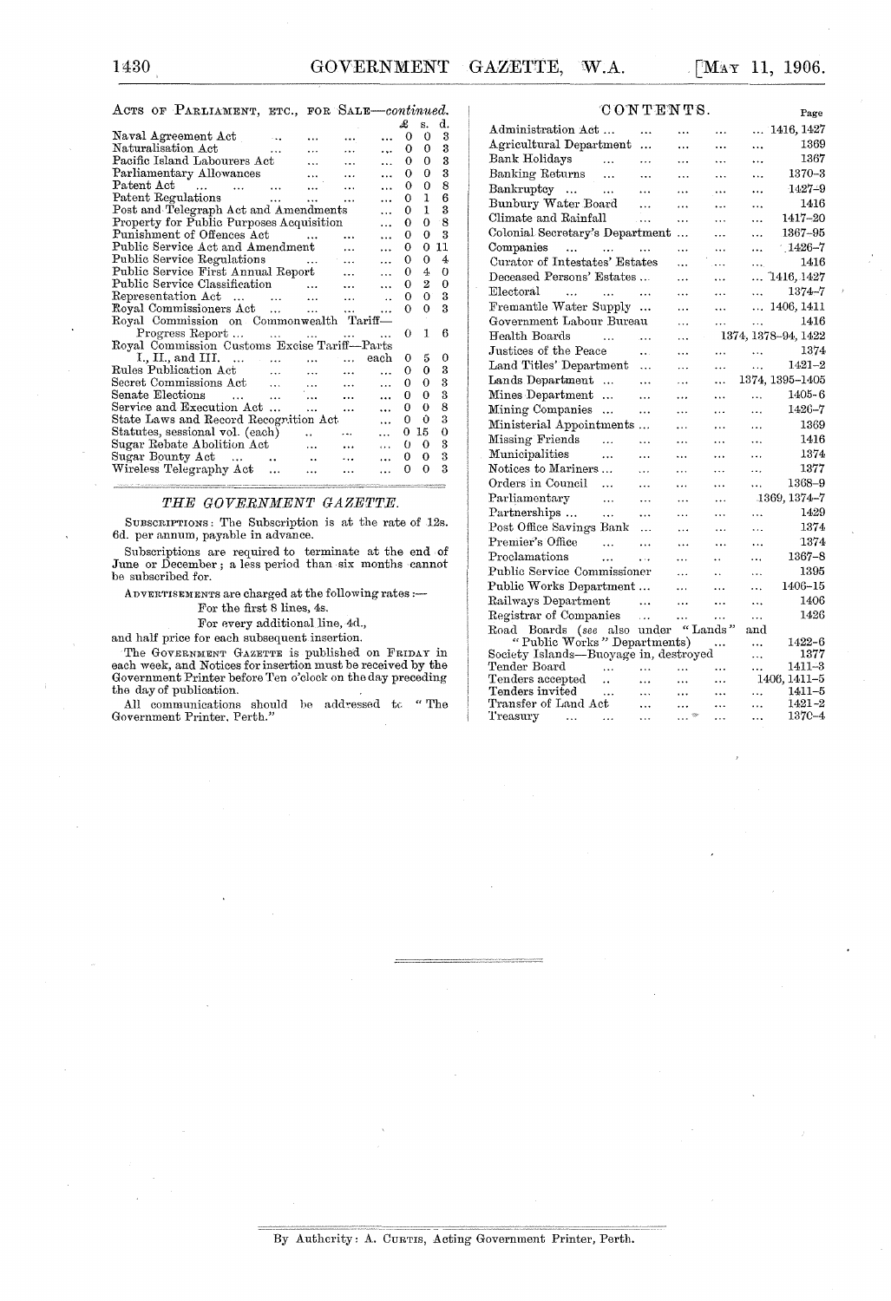1430 GOVERNMENT GAZETTE, W.A. [MAY 11, 1906.

### ACTS OF PARLIAMENT, ETC., FOR SALE-continued.

|                                                                                                             |                                          |           |           | £        | s.       | d.          |
|-------------------------------------------------------------------------------------------------------------|------------------------------------------|-----------|-----------|----------|----------|-------------|
| Naval Agreement Act                                                                                         |                                          |           |           | 0        | 0        | 3           |
| Naturalisation Act                                                                                          |                                          | $\cdots$  | $\ddotsc$ | 0        | 0        | 3           |
| Pacific Island Labourers Act                                                                                |                                          |           | $\ddotsc$ | 0        | 0        | 3           |
| Parliamentary Allowances                                                                                    |                                          |           |           | 0        | 0        | 3           |
| Patent Act<br><b>Contract</b><br>$\sim$ $\sim$<br>$\overline{a}$                                            | $\ddotsc$                                |           |           | 0        | 0        | 8           |
| Patent Regulations                                                                                          | <b>Sales Control</b>                     |           |           | O        | 1        | 6           |
| Post and Telegraph Act and Amendments                                                                       |                                          |           |           | 0        | ı        | 3           |
| Property for Public Purposes Acquisition                                                                    |                                          |           |           | 0        | 0        | 8           |
| Punishment of Offences Act                                                                                  |                                          |           |           | 0        | 0        | 3           |
| Public Service Act and Amendment                                                                            |                                          |           |           | 0        | 0        | 11          |
| Public Service Regulations                                                                                  | $\sim$ 100 $\mu$<br>$\sim$ $\sim$ $\sim$ |           |           | 0        | $\Omega$ | 4           |
| Public Service First Annual Report                                                                          |                                          |           |           | 0        | 4        | O           |
| Public Service Classification                                                                               | $\sim 10^{11}$ and $\sim 10^{11}$        | $\ddotsc$ |           | 0        | 2        | $\mathbf 0$ |
| Representation Act                                                                                          |                                          | $\ddotsc$ |           | 0        | 0        | 3           |
| Royal Commissioners Act                                                                                     |                                          | $\ddotsc$ |           | O        | 0        | 3           |
| Royal Commission on Commonwealth Tariff-                                                                    |                                          |           |           |          |          |             |
| Progress Report                                                                                             | and the same of                          |           |           | $\Omega$ | 1        | 6           |
| Royal Commission Customs Excise Tariff—Parts                                                                |                                          |           |           |          |          |             |
| I., II., and III.                                                                                           |                                          | each      |           | 0        | 5        | 0           |
| Rules Publication Act                                                                                       | $\cdots$                                 |           |           | 0        | 0        | 3           |
| Secret Commissions Act                                                                                      |                                          |           |           | 0        | 0        | 3           |
| Senate Elections<br>$\mathbf{r}$ , $\mathbf{r}$ , $\mathbf{r}$ , $\mathbf{r}$ , $\mathbf{r}$ , $\mathbf{r}$ |                                          |           | $\ddotsc$ | 0        | 0        | 3           |
| Service and Execution Act                                                                                   | $\sim$ $\sim$ $\sim$                     | .         |           | 0        | 0        | 8           |
| State Laws and Record Recognition Act.                                                                      |                                          |           |           | 0        | Û        | 3           |
| Statutes, sessional vol. (each)                                                                             | $\ddot{\phantom{a}}$                     |           | $\cdots$  | 0        | 15       | 0           |
| Sugar Rebate Abolition Act                                                                                  | $\ddotsc$                                | $\ddotsc$ | .         | 0        | 0        | 3           |
| Sugar Bounty Act<br>$\ddotsc$                                                                               | $\ddotsc$                                | .         |           | 0        | 0        | 3           |
| Wireless Telegraphy Act<br>$\ddotsc$                                                                        |                                          | $\cdots$  |           | 0        | 0        | 3           |
|                                                                                                             |                                          |           |           |          |          |             |

#### *THE GOVERNMENT GAZETTE.*

SUBSCRIPTIONS: The Subscription is at the rate of 12s. 6d. per annum, payable in advance.

Subscriptions are required to terminate at the end of June or December; a less period than six months cannot be subscribed for.

ADVERTISEMENTS are charged at the following rates :-

For the first 8 lines, 4s.

For every additional line, 4d.,

and half price for each snbsequent insertion.

The GOVERNMENT GAZETTE is published on FRIDAY in each week, and Notices for insertion must be received by the Government Printer before Ten o'clock on the day preceding the day of publication.

All communications should be addressed to "The Government Printer, Perth."  $\,$ 

|                                                            | CONTENTS.<br>Page |           |                      |                            |  |  |  |  |
|------------------------------------------------------------|-------------------|-----------|----------------------|----------------------------|--|--|--|--|
| Administration Act                                         |                   |           |                      | 1416, 1427<br>             |  |  |  |  |
| Agricultural Department                                    | .                 | .         | $\ddotsc$            | 1369<br>                   |  |  |  |  |
| Bank Holidays<br>$\sim$ $\sim$                             | .                 | $\ddotsc$ | .                    | 1367<br>                   |  |  |  |  |
| Banking Returns<br>$\ddotsc$                               | .                 | .         | .                    | $1370 - 3$<br>             |  |  |  |  |
| Bankruptcy<br>$\sim$ $\sim$                                |                   | $\ddotsc$ |                      | $1427 - 9$<br>             |  |  |  |  |
| Bunbury Water Board                                        | .                 | .         | .                    | 1416<br>$\ddotsc$          |  |  |  |  |
| Climate and Rainfall                                       | $\cdots$          | $\ddotsc$ | $\ddotsc$            | 1417-20<br>$\ddotsc$       |  |  |  |  |
| Colonial Secretary's Department                            |                   | $\ddotsc$ | .                    | 1367-95<br>.               |  |  |  |  |
| Companies<br>and the same                                  | $\sim$ 100        | .         | .                    | $-1426 - 7$<br>.           |  |  |  |  |
| Curator of Intestates' Estates                             |                   |           | $\cdots$             | 1416<br>.                  |  |  |  |  |
| Deceased Persons' Estates                                  |                   | .         | .                    | 1416, 1427<br>$\ddotsc$    |  |  |  |  |
| ${\rm Electoral}$<br>$\ddotsc$<br>$\overline{\phantom{a}}$ | $\ddotsc$         | $\cdots$  | .                    | 1374–7<br>.                |  |  |  |  |
| Fremantle Water Supply                                     | .                 | .         | $\ddotsc$            | 1406, 1411<br>$\ddotsc$    |  |  |  |  |
| Government Labour Bureau                                   |                   | .         | .                    | 1416<br>                   |  |  |  |  |
| Health Boards<br>$\ddots$                                  | $\ddotsc$         | .         |                      | 1374, 1378-94, 1422        |  |  |  |  |
| Justices of the Peace                                      | $\ddotsc$         | .         | .                    | 1374<br>$\ddotsc$          |  |  |  |  |
| Land Titles' Department                                    | .                 | .         |                      | $1421 - 2$<br>$\ddotsc$    |  |  |  |  |
| Lands Department<br>$\cdots$                               |                   | $\cdots$  | $\ddotsc$            | 1374, 1395-1405            |  |  |  |  |
| Mines Department<br>$\cdots$                               | .                 | .         | .                    | $1405 - 6$<br>$\ddotsc$    |  |  |  |  |
| Mining Companies<br>$\ddotsc$                              |                   | $\ddotsc$ | .                    | 1426-7<br>$\ddotsc$        |  |  |  |  |
| Ministerial Appointments                                   |                   | $\ddotsc$ | .                    | 1369<br>$\ddotsc$          |  |  |  |  |
| Missing Friends<br>$\ddotsc$                               | $\cdot$ .         | $\cdots$  | $\cdots$             | 1416<br>$\ddotsc$          |  |  |  |  |
| Municipalities<br>$\ddotsc$                                | .                 | $\ddotsc$ | .                    | 1374<br>.                  |  |  |  |  |
| Notices to Mariners                                        | .                 | .         | .                    | 1377<br>                   |  |  |  |  |
| Orders in Council<br>$\ddotsc$                             | .                 | $\ddotsc$ | .                    | 1368-9<br>.                |  |  |  |  |
| Parliamentary<br>$\ddots$                                  | .                 | $\ddotsc$ | .                    | 1369, 1374-7               |  |  |  |  |
| Partnerships<br>$\ldots$                                   |                   | $\ldots$  |                      | 1429<br>                   |  |  |  |  |
| Post Office Savings Bank                                   | .                 | .         | .                    | 1374<br>                   |  |  |  |  |
| Premier's Office<br>$\ddotsc$                              | 224               | $\ddotsc$ | .                    | 1374<br>$\ddotsc$          |  |  |  |  |
| Proclamations<br>$\ddotsc$                                 | لمناد             | $\cdots$  | $\ddot{\phantom{0}}$ | $1367 - 8$<br>$\ddotsc$    |  |  |  |  |
| Public Service Commissioner                                |                   | $\ddotsc$ | . .                  | 1395<br>.                  |  |  |  |  |
| Public Works Department                                    |                   | $\cdots$  | .                    | $1406 - 15$<br>.           |  |  |  |  |
| Railways Department                                        | $\ddotsc$         | $\cdots$  | $\ddotsc$            | 1406<br>$\cdots$           |  |  |  |  |
| Registrar of Companies                                     | $\dddotsc$        | .         | .                    | 1426<br>$\ddotsc$          |  |  |  |  |
| Road Boards (see also under                                |                   | "Lands"   |                      | and                        |  |  |  |  |
| "Public Works" Departments)                                |                   |           |                      | 1422-6<br>.                |  |  |  |  |
| Society Islands—Buoyage in, destroyed                      |                   |           |                      | 1377<br>.                  |  |  |  |  |
| Tender Board<br>.                                          | $\cdots$          | .         |                      | 1411–3<br>                 |  |  |  |  |
| Tenders accepted<br>Tenders invited<br>$\ddotsc$           | $\cdots$          | .         | .                    | 1406, 1411-5<br>$1411 - 5$ |  |  |  |  |
| Transfer of Land Act                                       | .<br>.            | .<br>     | $\ddotsc$<br>.       | .<br>1421-2<br>.           |  |  |  |  |
| Treasury<br>$\ddotsc$<br>$\cdots$                          | $\ddotsc$         | $\cdot$ . | $\cdots$             | $137C - 4$<br>$\ddotsc$    |  |  |  |  |